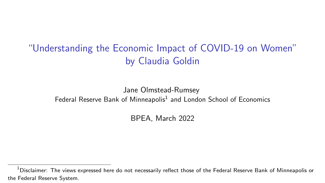"Understanding the Economic Impact of COVID-19 on Women" by Claudia Goldin

Jane Olmstead-Rumsey Federal Reserve Bank of Minneapolis<sup>1</sup> and London School of Economics

BPEA, March 2022

<sup>&</sup>lt;sup>1</sup>Disclaimer: The views expressed here do not necessarily reflect those of the Federal Reserve Bank of Minneapolis or the Federal Reserve System.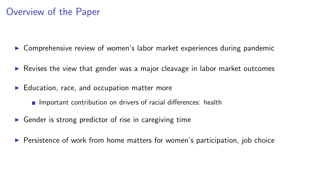### Overview of the Paper

 $\triangleright$  Comprehensive review of women's labor market experiences during pandemic

- $\triangleright$  Revises the view that gender was a major cleavage in labor market outcomes
- $\blacktriangleright$  Education, race, and occupation matter more
	- **Important contribution on drivers of racial differences: health**
- $\triangleright$  Gender is strong predictor of rise in caregiving time
- $\triangleright$  Persistence of work from home matters for women's participation, job choice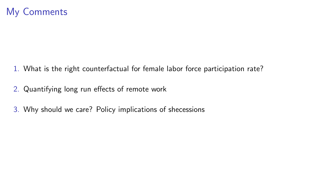- 1. What is the right counterfactual for female labor force participation rate?
- 2. Quantifying long run effects of remote work
- 3. Why should we care? Policy implications of shecessions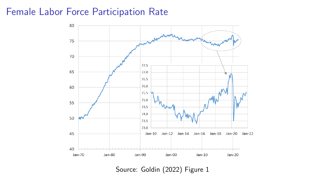#### Female Labor Force Participation Rate



Source: Goldin (2022) Figure 1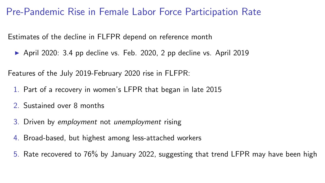Pre-Pandemic Rise in Female Labor Force Participation Rate

Estimates of the decline in FLFPR depend on reference month

 $\triangleright$  April 2020: 3.4 pp decline vs. Feb. 2020, 2 pp decline vs. April 2019

Features of the July 2019-February 2020 rise in FLFPR:

- 1. Part of a recovery in women's LFPR that began in late 2015
- 2. Sustained over 8 months
- 3. Driven by employment not unemployment rising
- 4. Broad-based, but highest among less-attached workers
- 5. Rate recovered to 76% by January 2022, suggesting that trend LFPR may have been high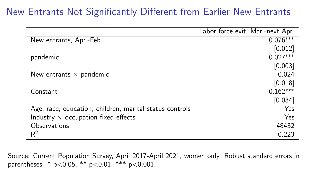## New Entrants Not Significantly Different from Earlier New Entrants

|                                                         | Labor force exit, Mar.-next Apr. |
|---------------------------------------------------------|----------------------------------|
| New entrants, Apr.-Feb.                                 | $0.076***$                       |
|                                                         | [0.012]                          |
| pandemic                                                | $0.027***$                       |
|                                                         | [0.003]                          |
| New entrants $\times$ pandemic                          | $-0.024$                         |
|                                                         | [0.018]                          |
| Constant                                                | $0.162***$                       |
|                                                         | [0.034]                          |
| Age, race, education, children, marital status controls | Yes                              |
| Industry $\times$ occupation fixed effects              | Yes                              |
| Observations                                            | 48432                            |
| $R^2$                                                   | 0.223                            |

Source: Current Population Survey, April 2017-April 2021, women only. Robust standard errors in parentheses. \* p<0.05, \*\* p<0.01, \*\*\* p<0.001.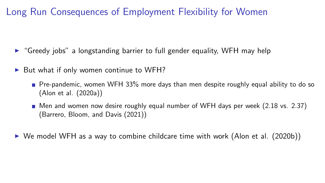## Long Run Consequences of Employment Flexibility for Women

- $\triangleright$  "Greedy jobs" a longstanding barrier to full gender equality, WFH may help
- ▶ But what if only women continue to WFH?
	- **Pre-pandemic, women WFH 33% more days than men despite roughly equal ability to do so** (Alon et al. (2020a))
	- $\blacksquare$  Men and women now desire roughly equal number of WFH days per week (2.18 vs. 2.37) (Barrero, Bloom, and Davis (2021))
- $\triangleright$  We model WFH as a way to combine childcare time with work (Alon et al. (2020b))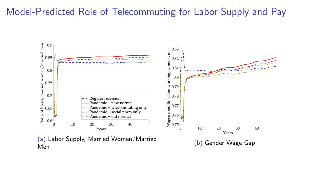#### Model-Predicted Role of Telecommuting for Labor Supply and Pay

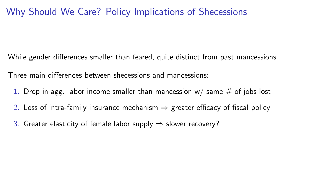## Why Should We Care? Policy Implications of Shecessions

While gender differences smaller than feared, quite distinct from past mancessions

Three main differences between shecessions and mancessions:

- 1. Drop in agg. labor income smaller than mancession  $w/$  same  $\#$  of jobs lost
- 2. Loss of intra-family insurance mechanism  $\Rightarrow$  greater efficacy of fiscal policy
- 3. Greater elasticity of female labor supply  $\Rightarrow$  slower recovery?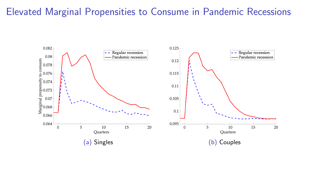#### Elevated Marginal Propensities to Consume in Pandemic Recessions